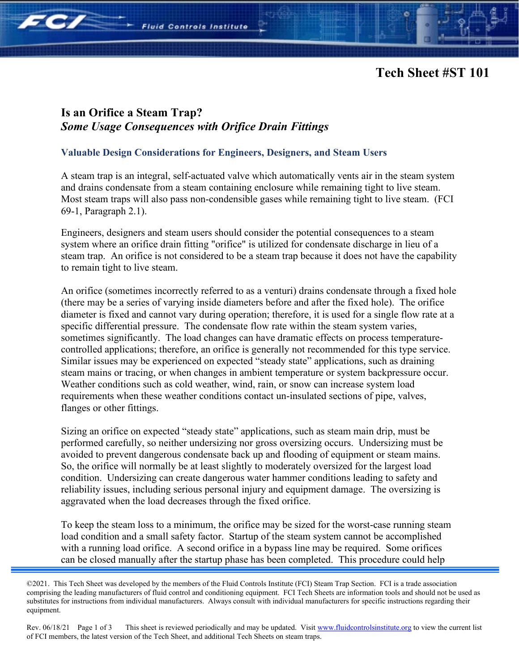

## **Is an Orifice a Steam Trap?**  *Some Usage Consequences with Orifice Drain Fittings*

**Fluid Controls Institute** 

**Fe/** 

## **Valuable Design Considerations for Engineers, Designers, and Steam Users**

A steam trap is an integral, self-actuated valve which automatically vents air in the steam system and drains condensate from a steam containing enclosure while remaining tight to live steam. Most steam traps will also pass non-condensible gases while remaining tight to live steam. (FCI 69-1, Paragraph 2.1).

Engineers, designers and steam users should consider the potential consequences to a steam system where an orifice drain fitting "orifice" is utilized for condensate discharge in lieu of a steam trap. An orifice is not considered to be a steam trap because it does not have the capability to remain tight to live steam.

An orifice (sometimes incorrectly referred to as a venturi) drains condensate through a fixed hole (there may be a series of varying inside diameters before and after the fixed hole). The orifice diameter is fixed and cannot vary during operation; therefore, it is used for a single flow rate at a specific differential pressure. The condensate flow rate within the steam system varies, sometimes significantly. The load changes can have dramatic effects on process temperaturecontrolled applications; therefore, an orifice is generally not recommended for this type service. Similar issues may be experienced on expected "steady state" applications, such as draining steam mains or tracing, or when changes in ambient temperature or system backpressure occur. Weather conditions such as cold weather, wind, rain, or snow can increase system load requirements when these weather conditions contact un-insulated sections of pipe, valves, flanges or other fittings.

Sizing an orifice on expected "steady state" applications, such as steam main drip, must be performed carefully, so neither undersizing nor gross oversizing occurs. Undersizing must be avoided to prevent dangerous condensate back up and flooding of equipment or steam mains. So, the orifice will normally be at least slightly to moderately oversized for the largest load condition. Undersizing can create dangerous water hammer conditions leading to safety and reliability issues, including serious personal injury and equipment damage. The oversizing is aggravated when the load decreases through the fixed orifice.

To keep the steam loss to a minimum, the orifice may be sized for the worst-case running steam load condition and a small safety factor. Startup of the steam system cannot be accomplished with a running load orifice. A second orifice in a bypass line may be required. Some orifices can be closed manually after the startup phase has been completed. This procedure could help

Rev. 06/18/21 Page 1 of 3 This sheet is reviewed periodically and may be updated. Visi[t www.fluidcontrolsinstitute.org](http://www.fluidcontrolsinstitute.org/) to view the current list of FCI members, the latest version of the Tech Sheet, and additional Tech Sheets on steam traps.

<sup>©2021.</sup> This Tech Sheet was developed by the members of the Fluid Controls Institute (FCI) Steam Trap Section. FCI is a trade association comprising the leading manufacturers of fluid control and conditioning equipment. FCI Tech Sheets are information tools and should not be used as substitutes for instructions from individual manufacturers. Always consult with individual manufacturers for specific instructions regarding their equipment.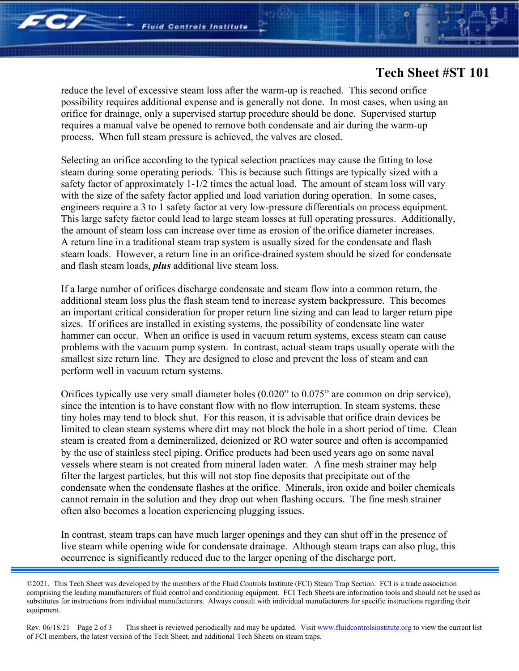**FC/** 

## **Tech Sheet #ST 101**

reduce the level of excessive steam loss after the warm-up is reached. This second orifice possibility requires additional expense and is generally not done. In most cases, when using an orifice for drainage, only a supervised startup procedure should be done. Supervised startup requires a manual valve be opened to remove both condensate and air during the warm-up process. When full steam pressure is achieved, the valves are closed.

Selecting an orifice according to the typical selection practices may cause the fitting to lose steam during some operating periods. This is because such fittings are typically sized with a safety factor of approximately 1-1/2 times the actual load. The amount of steam loss will vary with the size of the safety factor applied and load variation during operation. In some cases, engineers require a 3 to 1 safety factor at very low-pressure differentials on process equipment. This large safety factor could lead to large steam losses at full operating pressures. Additionally, the amount of steam loss can increase over time as erosion of the orifice diameter increases. A return line in a traditional steam trap system is usually sized for the condensate and flash steam loads. However, a return line in an orifice-drained system should be sized for condensate and flash steam loads, *plus* additional live steam loss.

If a large number of orifices discharge condensate and steam flow into a common return, the additional steam loss plus the flash steam tend to increase system backpressure. This becomes an important critical consideration for proper return line sizing and can lead to larger return pipe sizes. If orifices are installed in existing systems, the possibility of condensate line water hammer can occur. When an orifice is used in vacuum return systems, excess steam can cause problems with the vacuum pump system. In contrast, actual steam traps usually operate with the smallest size return line. They are designed to close and prevent the loss of steam and can perform well in vacuum return systems.

Orifices typically use very small diameter holes (0.020" to 0.075" are common on drip service), since the intention is to have constant flow with no flow interruption. In steam systems, these tiny holes may tend to block shut. For this reason, it is advisable that orifice drain devices be limited to clean steam systems where dirt may not block the hole in a short period of time. Clean steam is created from a demineralized, deionized or RO water source and often is accompanied by the use of stainless steel piping. Orifice products had been used years ago on some naval vessels where steam is not created from mineral laden water. A fine mesh strainer may help filter the largest particles, but this will not stop fine deposits that precipitate out of the condensate when the condensate flashes at the orifice. Minerals, iron oxide and boiler chemicals cannot remain in the solution and they drop out when flashing occurs. The fine mesh strainer often also becomes a location experiencing plugging issues.

In contrast, steam traps can have much larger openings and they can shut off in the presence of live steam while opening wide for condensate drainage. Although steam traps can also plug, this occurrence is significantly reduced due to the larger opening of the discharge port.

Rev. 06/18/21 Page 2 of 3 This sheet is reviewed periodically and may be updated. Visi[t www.fluidcontrolsinstitute.org](http://www.fluidcontrolsinstitute.org/) to view the current list of FCI members, the latest version of the Tech Sheet, and additional Tech Sheets on steam traps.

<sup>©2021.</sup> This Tech Sheet was developed by the members of the Fluid Controls Institute (FCI) Steam Trap Section. FCI is a trade association comprising the leading manufacturers of fluid control and conditioning equipment. FCI Tech Sheets are information tools and should not be used as substitutes for instructions from individual manufacturers. Always consult with individual manufacturers for specific instructions regarding their equipment.